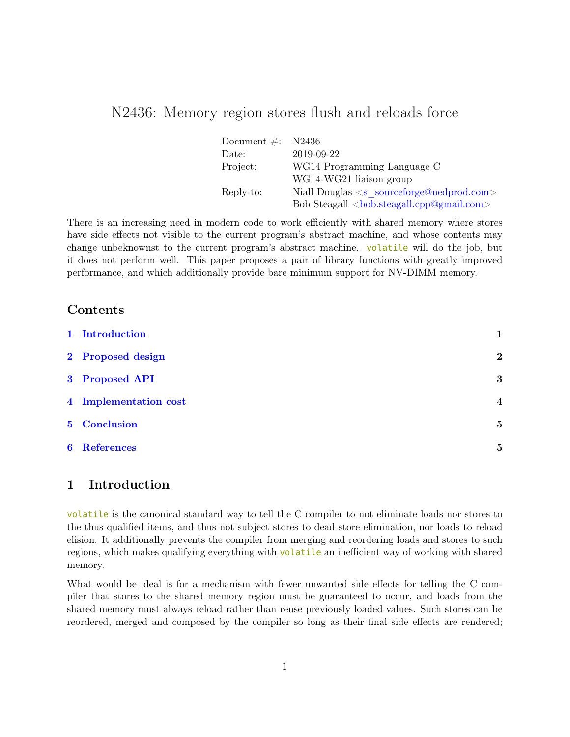## N2436: Memory region stores flush and reloads force

| Document $\#$ : | N2436                                                      |
|-----------------|------------------------------------------------------------|
| Date:           | 2019-09-22                                                 |
| Project:        | WG14 Programming Language C                                |
|                 | WG14-WG21 liaison group                                    |
| Reply-to:       | Niall Douglas $\langle s \rangle$ sourceforge@nedprod.com> |
|                 |                                                            |

There is an increasing need in modern code to work efficiently with shared memory where stores have side effects not visible to the current program's abstract machine, and whose contents may change unbeknownst to the current program's abstract machine. volatile will do the job, but it does not perform well. This paper proposes a pair of library functions with greatly improved performance, and which additionally provide bare minimum support for NV-DIMM memory.

#### Contents

| 1 Introduction        |                         |
|-----------------------|-------------------------|
| 2 Proposed design     | $\bf{2}$                |
| 3 Proposed API        | 3                       |
| 4 Implementation cost | $\overline{\mathbf{4}}$ |
| 5 Conclusion          | $\overline{5}$          |
| <b>6</b> References   | 5                       |

### <span id="page-0-0"></span>1 Introduction

volatile is the canonical standard way to tell the C compiler to not eliminate loads nor stores to the thus qualified items, and thus not subject stores to dead store elimination, nor loads to reload elision. It additionally prevents the compiler from merging and reordering loads and stores to such regions, which makes qualifying everything with volatile an inefficient way of working with shared memory.

What would be ideal is for a mechanism with fewer unwanted side effects for telling the C compiler that stores to the shared memory region must be guaranteed to occur, and loads from the shared memory must always reload rather than reuse previously loaded values. Such stores can be reordered, merged and composed by the compiler so long as their final side effects are rendered;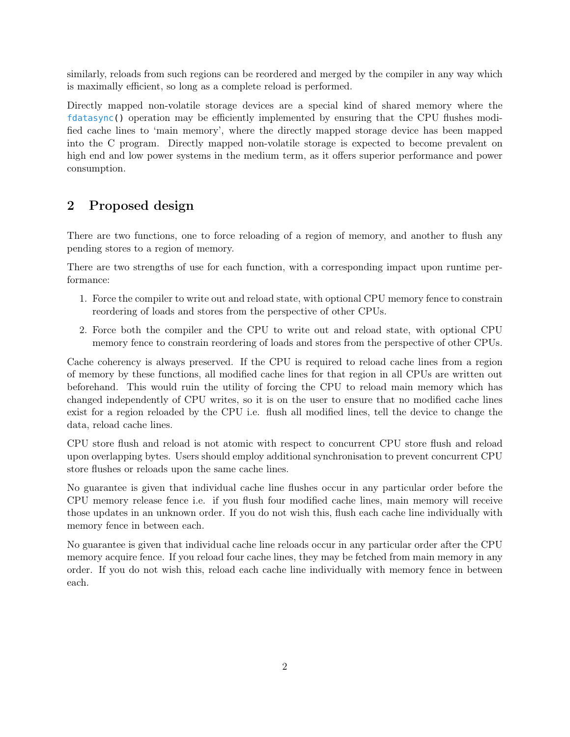similarly, reloads from such regions can be reordered and merged by the compiler in any way which is maximally efficient, so long as a complete reload is performed.

Directly mapped non-volatile storage devices are a special kind of shared memory where the fdatasync() operation may be efficiently implemented by ensuring that the CPU flushes modified cache lines to 'main memory', where the directly mapped storage device has been mapped into the C program. Directly mapped non-volatile storage is expected to become prevalent on high end and low power systems in the medium term, as it offers superior performance and power consumption.

### <span id="page-1-0"></span>2 Proposed design

There are two functions, one to force reloading of a region of memory, and another to flush any pending stores to a region of memory.

There are two strengths of use for each function, with a corresponding impact upon runtime performance:

- 1. Force the compiler to write out and reload state, with optional CPU memory fence to constrain reordering of loads and stores from the perspective of other CPUs.
- 2. Force both the compiler and the CPU to write out and reload state, with optional CPU memory fence to constrain reordering of loads and stores from the perspective of other CPUs.

Cache coherency is always preserved. If the CPU is required to reload cache lines from a region of memory by these functions, all modified cache lines for that region in all CPUs are written out beforehand. This would ruin the utility of forcing the CPU to reload main memory which has changed independently of CPU writes, so it is on the user to ensure that no modified cache lines exist for a region reloaded by the CPU i.e. flush all modified lines, tell the device to change the data, reload cache lines.

CPU store flush and reload is not atomic with respect to concurrent CPU store flush and reload upon overlapping bytes. Users should employ additional synchronisation to prevent concurrent CPU store flushes or reloads upon the same cache lines.

No guarantee is given that individual cache line flushes occur in any particular order before the CPU memory release fence i.e. if you flush four modified cache lines, main memory will receive those updates in an unknown order. If you do not wish this, flush each cache line individually with memory fence in between each.

No guarantee is given that individual cache line reloads occur in any particular order after the CPU memory acquire fence. If you reload four cache lines, they may be fetched from main memory in any order. If you do not wish this, reload each cache line individually with memory fence in between each.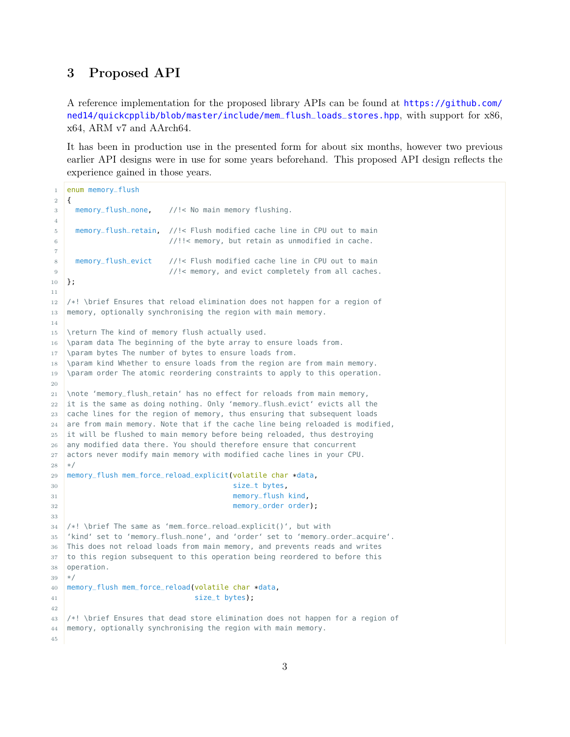### <span id="page-2-0"></span>3 Proposed API

A reference implementation for the proposed library APIs can be found at [https://github.com/](https://github.com/ned14/quickcpplib/blob/master/include/mem_flush_loads_stores.hpp) [ned14/quickcpplib/blob/master/include/mem\\_flush\\_loads\\_stores.hpp](https://github.com/ned14/quickcpplib/blob/master/include/mem_flush_loads_stores.hpp), with support for x86, x64, ARM v7 and AArch64.

It has been in production use in the presented form for about six months, however two previous earlier API designs were in use for some years beforehand. This proposed API design reflects the experience gained in those years.

```
1 enum memory_flush
2 \mid \{3 memory_flush_none, //!< No main memory flushing.
4
5 memory_flush_retain, //!< Flush modified cache line in CPU out to main
6 //!!< memory, but retain as unmodified in cache.
7
8 memory_flush_evict //!< Flush modified cache line in CPU out to main
9 //!< memory, and evict completely from all caches.
10 };
11
12 /*! \brief Ensures that reload elimination does not happen for a region of
13 memory, optionally synchronising the region with main memory.
14
15 \return The kind of memory flush actually used.
16 \param data The beginning of the byte array to ensure loads from.
17 \param bytes The number of bytes to ensure loads from.
18 \param kind Whether to ensure loads from the region are from main memory.
19 \param order The atomic reordering constraints to apply to this operation.
20
21 \note 'memory_flush_retain' has no effect for reloads from main memory,
22 it is the same as doing nothing. Only 'memory_flush_evict' evicts all the
23 cache lines for the region of memory, thus ensuring that subsequent loads
24 are from main memory. Note that if the cache line being reloaded is modified,
25 it will be flushed to main memory before being reloaded, thus destroying
26 any modified data there. You should therefore ensure that concurrent
27 actors never modify main memory with modified cache lines in your CPU.
28 */
29 memory_flush mem_force_reload_explicit(volatile char *data,
30 size_t bytes,
31 memory_flush kind,
32 memory_order order);
33
34 /*! \brief The same as 'mem_force_reload_explicit()', but with
35 'kind' set to 'memory_flush_none', and 'order' set to 'memory_order_acquire'.
36 This does not reload loads from main memory, and prevents reads and writes
37 to this region subsequent to this operation being reordered to before this
38 operation.
39 */
40 memory_flush mem_force_reload(volatile char *data,
41 size_t bytes);
42
43 /*! \brief Ensures that dead store elimination does not happen for a region of
44 memory, optionally synchronising the region with main memory.
45
```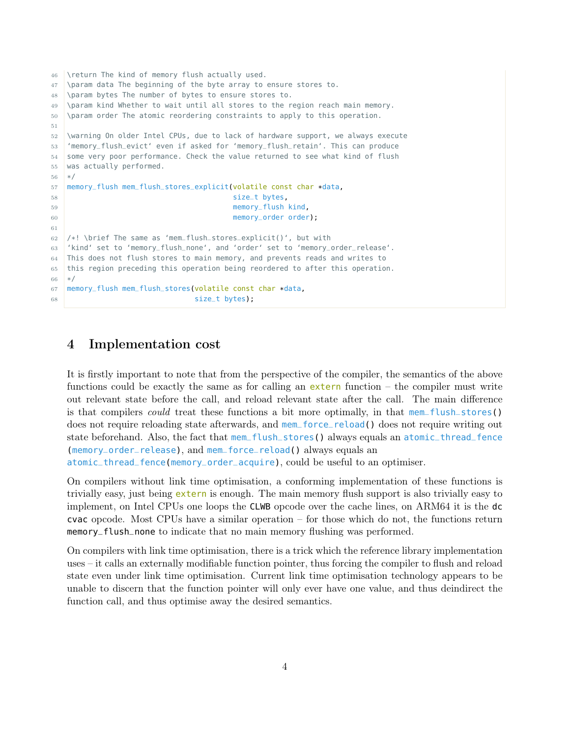```
46 \return The kind of memory flush actually used.
47 \param data The beginning of the byte array to ensure stores to.
48 \param bytes The number of bytes to ensure stores to.
49 \param kind Whether to wait until all stores to the region reach main memory.
50 \param order The atomic reordering constraints to apply to this operation.
51
52 \warning On older Intel CPUs, due to lack of hardware support, we always execute
53 'memory_flush_evict' even if asked for 'memory_flush_retain'. This can produce
54 some very poor performance. Check the value returned to see what kind of flush
55 was actually performed.
56 */
57 memory_flush mem_flush_stores_explicit(volatile const char *data,
58 size_t bytes,
59 memory_flush kind,
60 memory_order order);
61
62 /*! \brief The same as 'mem_flush_stores_explicit()', but with
63 'kind' set to 'memory_flush_none', and 'order' set to 'memory_order_release'.
64 This does not flush stores to main memory, and prevents reads and writes to
65 this region preceding this operation being reordered to after this operation.
66 */
67 memory_flush mem_flush_stores(volatile const char *data,
68 size_t bytes);
```
### <span id="page-3-0"></span>4 Implementation cost

It is firstly important to note that from the perspective of the compiler, the semantics of the above functions could be exactly the same as for calling an  $ext{extern}$  function – the compiler must write out relevant state before the call, and reload relevant state after the call. The main difference is that compilers could treat these functions a bit more optimally, in that mem\_flush\_stores() does not require reloading state afterwards, and mem\_force\_reload() does not require writing out state beforehand. Also, the fact that mem\_flush\_stores() always equals an atomic\_thread\_fence (memory\_order\_release), and mem\_force\_reload() always equals an atomic\_thread\_fence(memory\_order\_acquire), could be useful to an optimiser.

On compilers without link time optimisation, a conforming implementation of these functions is trivially easy, just being extern is enough. The main memory flush support is also trivially easy to implement, on Intel CPUs one loops the CLWB opcode over the cache lines, on ARM64 it is the dc cvac opcode. Most CPUs have a similar operation – for those which do not, the functions return memory\_flush\_none to indicate that no main memory flushing was performed.

On compilers with link time optimisation, there is a trick which the reference library implementation uses – it calls an externally modifiable function pointer, thus forcing the compiler to flush and reload state even under link time optimisation. Current link time optimisation technology appears to be unable to discern that the function pointer will only ever have one value, and thus deindirect the function call, and thus optimise away the desired semantics.